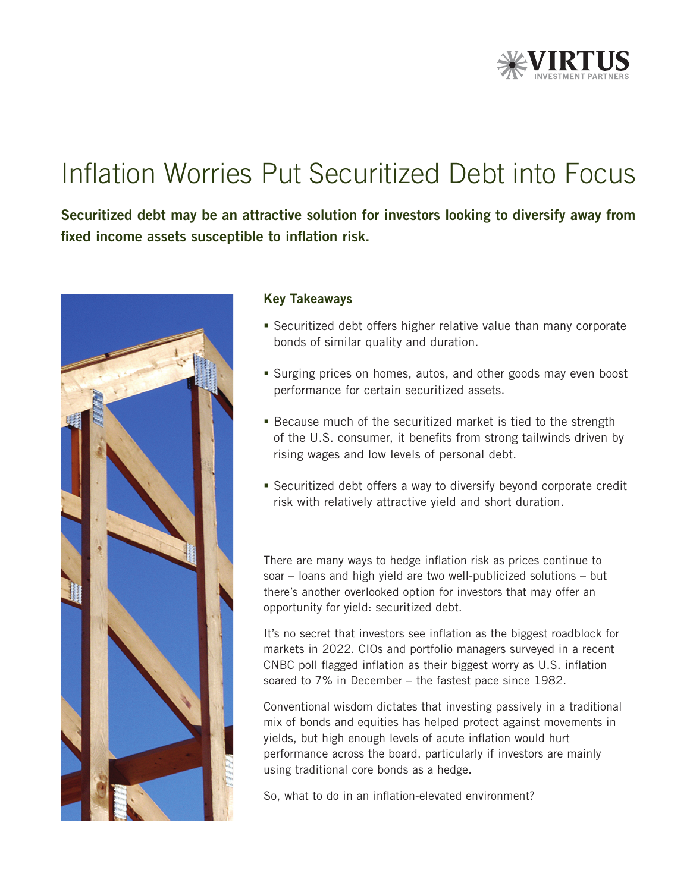

# Inflation Worries Put Securitized Debt into Focus

Securitized debt may be an attractive solution for investors looking to diversify away from fixed income assets susceptible to inflation risk.



## Key Takeaways

- Securitized debt offers higher relative value than many corporate bonds of similar quality and duration.
- **Surging prices on homes, autos, and other goods may even boost** performance for certain securitized assets.
- **Because much of the securitized market is tied to the strength** of the U.S. consumer, it benefits from strong tailwinds driven by rising wages and low levels of personal debt.
- Securitized debt offers a way to diversify beyond corporate credit risk with relatively attractive yield and short duration.

There are many ways to hedge inflation risk as prices continue to soar – loans and high yield are two well-publicized solutions – but there's another overlooked option for investors that may offer an opportunity for yield: securitized debt.

It's no secret that investors see inflation as the biggest roadblock for markets in 2022. CIOs and portfolio managers surveyed in a recent CNBC poll flagged inflation as their biggest worry as U.S. inflation soared to 7% in December – the fastest pace since 1982.

Conventional wisdom dictates that investing passively in a traditional mix of bonds and equities has helped protect against movements in yields, but high enough levels of acute inflation would hurt performance across the board, particularly if investors are mainly using traditional core bonds as a hedge.

So, what to do in an inflation-elevated environment?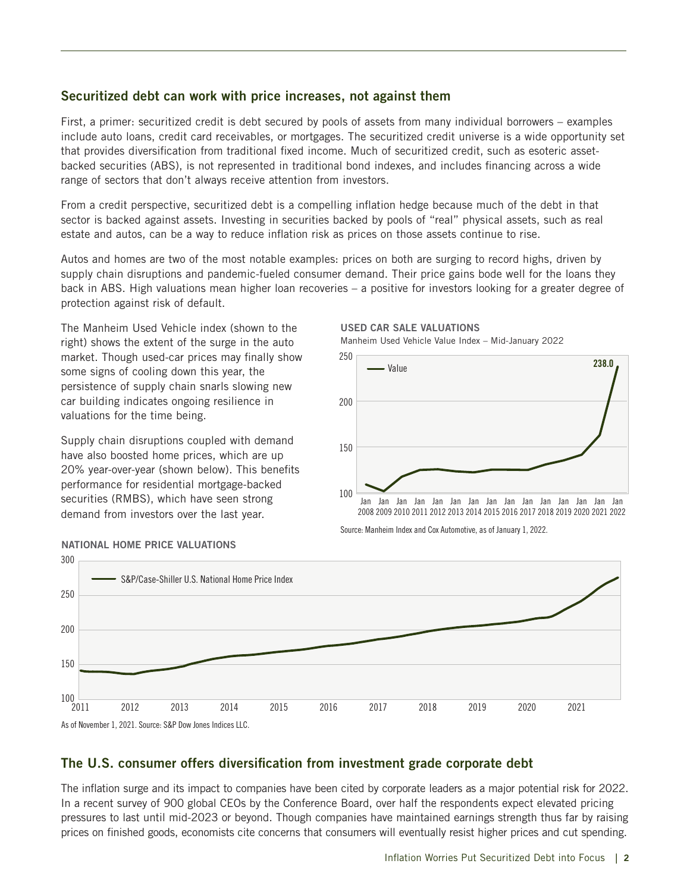## Securitized debt can work with price increases, not against them

First, a primer: securitized credit is debt secured by pools of assets from many individual borrowers – examples include auto loans, credit card receivables, or mortgages. The securitized credit universe is a wide opportunity set that provides diversification from traditional fixed income. Much of securitized credit, such as esoteric assetbacked securities (ABS), is not represented in traditional bond indexes, and includes financing across a wide range of sectors that don't always receive attention from investors.

From a credit perspective, securitized debt is a compelling inflation hedge because much of the debt in that sector is backed against assets. Investing in securities backed by pools of "real" physical assets, such as real estate and autos, can be a way to reduce inflation risk as prices on those assets continue to rise.

Autos and homes are two of the most notable examples: prices on both are surging to record highs, driven by supply chain disruptions and pandemic-fueled consumer demand. Their price gains bode well for the loans they back in ABS. High valuations mean higher loan recoveries – a positive for investors looking for a greater degree of protection against risk of default.

The Manheim Used Vehicle index (shown to the right) shows the extent of the surge in the auto market. Though used-car prices may finally show some signs of cooling down this year, the persistence of supply chain snarls slowing new car building indicates ongoing resilience in valuations for the time being.

Supply chain disruptions coupled with demand have also boosted home prices, which are up 20% year-over-year (shown below). This benefits performance for residential mortgage-backed securities (RMBS), which have seen strong demand from investors over the last year.





Jan Jan Jan Jan Jan Jan Jan Jan Jan Jan Jan Jan Jan Jan Jan 2008 2009 2010 2011 2012 2013 2014 2015 2016 2017 2018 2019 2020 2021 2022

Source: Manheim Index and Cox Automotive, as of January 1, 2022.



### NATIONAL HOME PRICE VALUATIONS

## The U.S. consumer offers diversification from investment grade corporate debt

The inflation surge and its impact to companies have been cited by corporate leaders as a major potential risk for 2022. In a recent survey of 900 global CEOs by the Conference Board, over half the respondents expect elevated pricing pressures to last until mid-2023 or beyond. Though companies have maintained earnings strength thus far by raising prices on finished goods, economists cite concerns that consumers will eventually resist higher prices and cut spending.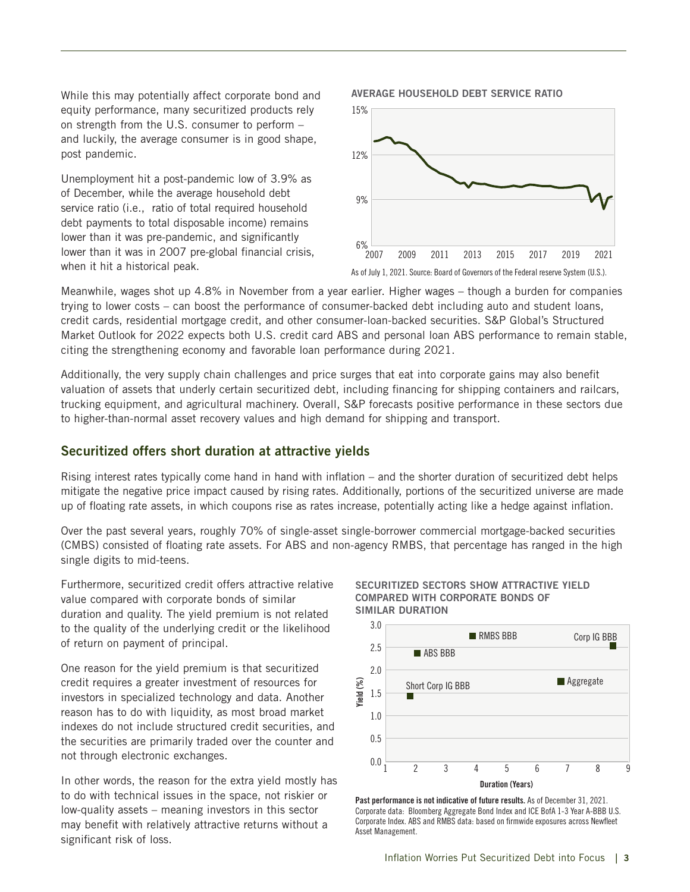While this may potentially affect corporate bond and equity performance, many securitized products rely on strength from the U.S. consumer to perform – and luckily, the average consumer is in good shape, post pandemic.

Unemployment hit a post-pandemic low of 3.9% as of December, while the average household debt service ratio (i.e., ratio of total required household debt payments to total disposable income) remains lower than it was pre-pandemic, and significantly lower than it was in 2007 pre-global financial crisis, when it hit a historical peak.

#### AVERAGE HOUSEHOLD DEBT SERVICE RATIO



As of July 1, 2021. Source: Board of Governors of the Federal reserve System (U.S.).

Meanwhile, wages shot up 4.8% in November from a year earlier. Higher wages – though a burden for companies trying to lower costs – can boost the performance of consumer-backed debt including auto and student loans, credit cards, residential mortgage credit, and other consumer-loan-backed securities. S&P Global's Structured Market Outlook for 2022 expects both U.S. credit card ABS and personal loan ABS performance to remain stable, citing the strengthening economy and favorable loan performance during 2021.

Additionally, the very supply chain challenges and price surges that eat into corporate gains may also benefit valuation of assets that underly certain securitized debt, including financing for shipping containers and railcars, trucking equipment, and agricultural machinery. Overall, S&P forecasts positive performance in these sectors due to higher-than-normal asset recovery values and high demand for shipping and transport.

## Securitized offers short duration at attractive yields

Rising interest rates typically come hand in hand with inflation – and the shorter duration of securitized debt helps mitigate the negative price impact caused by rising rates. Additionally, portions of the securitized universe are made up of floating rate assets, in which coupons rise as rates increase, potentially acting like a hedge against inflation.

Over the past several years, roughly 70% of single-asset single-borrower commercial mortgage-backed securities (CMBS) consisted of floating rate assets. For ABS and non-agency RMBS, that percentage has ranged in the high single digits to mid-teens.

Furthermore, securitized credit offers attractive relative value compared with corporate bonds of similar duration and quality. The yield premium is not related to the quality of the underlying credit or the likelihood of return on payment of principal.

One reason for the yield premium is that securitized credit requires a greater investment of resources for investors in specialized technology and data. Another reason has to do with liquidity, as most broad market indexes do not include structured credit securities, and the securities are primarily traded over the counter and not through electronic exchanges.

In other words, the reason for the extra yield mostly has to do with technical issues in the space, not riskier or low-quality assets – meaning investors in this sector may benefit with relatively attractive returns without a significant risk of loss.

#### SECURITIZED SECTORS SHOW ATTRACTIVE YIELD COMPARED WITH CORPORATE BONDS OF SIMILAR DURATION



**Past performance is not indicative of future results.** As of December 31, 2021. Corporate data: Bloomberg Aggregate Bond Index and ICE BofA 1-3 Year A-BBB U.S. Corporate Index. ABS and RMBS data: based on firmwide exposures across Newfleet Asset Management.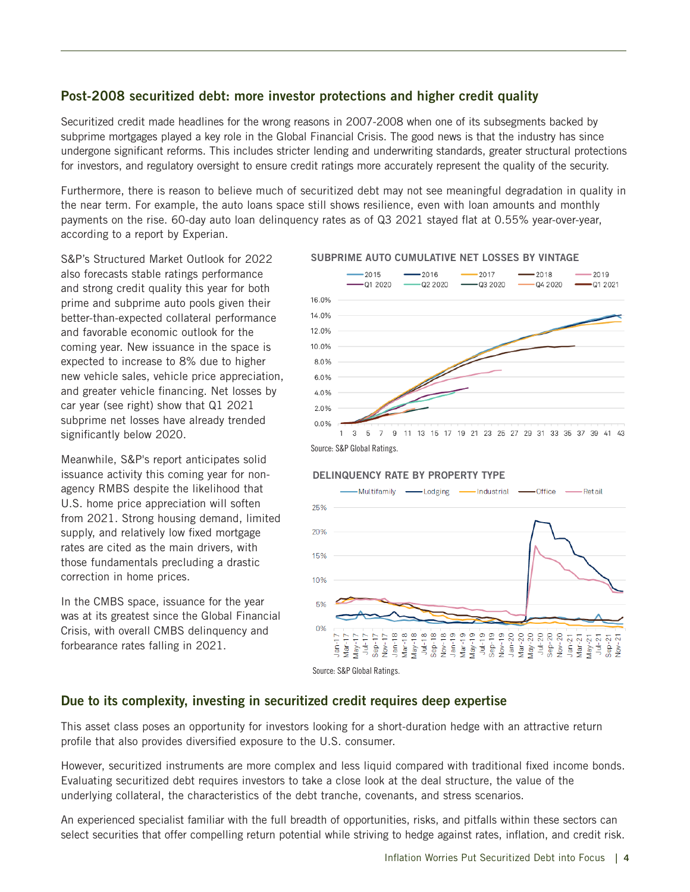## Post-2008 securitized debt: more investor protections and higher credit quality

Securitized credit made headlines for the wrong reasons in 2007-2008 when one of its subsegments backed by subprime mortgages played a key role in the Global Financial Crisis. The good news is that the industry has since undergone significant reforms. This includes stricter lending and underwriting standards, greater structural protections for investors, and regulatory oversight to ensure credit ratings more accurately represent the quality of the security.

Furthermore, there is reason to believe much of securitized debt may not see meaningful degradation in quality in the near term. For example, the auto loans space still shows resilience, even with loan amounts and monthly payments on the rise. 60-day auto loan delinquency rates as of Q3 2021 stayed flat at 0.55% year-over-year, according to a report by Experian.

S&P's Structured Market Outlook for 2022 also forecasts stable ratings performance and strong credit quality this year for both prime and subprime auto pools given their better-than-expected collateral performance and favorable economic outlook for the coming year. New issuance in the space is expected to increase to 8% due to higher new vehicle sales, vehicle price appreciation, and greater vehicle financing. Net losses by car year (see right) show that Q1 2021 subprime net losses have already trended significantly below 2020.

Meanwhile, S&P's report anticipates solid issuance activity this coming year for nonagency RMBS despite the likelihood that U.S. home price appreciation will soften from 2021. Strong housing demand, limited supply, and relatively low fixed mortgage rates are cited as the main drivers, with those fundamentals precluding a drastic correction in home prices.

In the CMBS space, issuance for the year was at its greatest since the Global Financial Crisis, with overall CMBS delinquency and forbearance rates falling in 2021.

#### SUBPRIME AUTO CUMULATIVE NET LOSSES BY VINTAGE



Source: S&P Global Ratings.

#### DELINQUENCY RATE BY PROPERTY TYPE



## Due to its complexity, investing in securitized credit requires deep expertise

This asset class poses an opportunity for investors looking for a short-duration hedge with an attractive return profile that also provides diversified exposure to the U.S. consumer.

However, securitized instruments are more complex and less liquid compared with traditional fixed income bonds. Evaluating securitized debt requires investors to take a close look at the deal structure, the value of the underlying collateral, the characteristics of the debt tranche, covenants, and stress scenarios.

An experienced specialist familiar with the full breadth of opportunities, risks, and pitfalls within these sectors can select securities that offer compelling return potential while striving to hedge against rates, inflation, and credit risk.